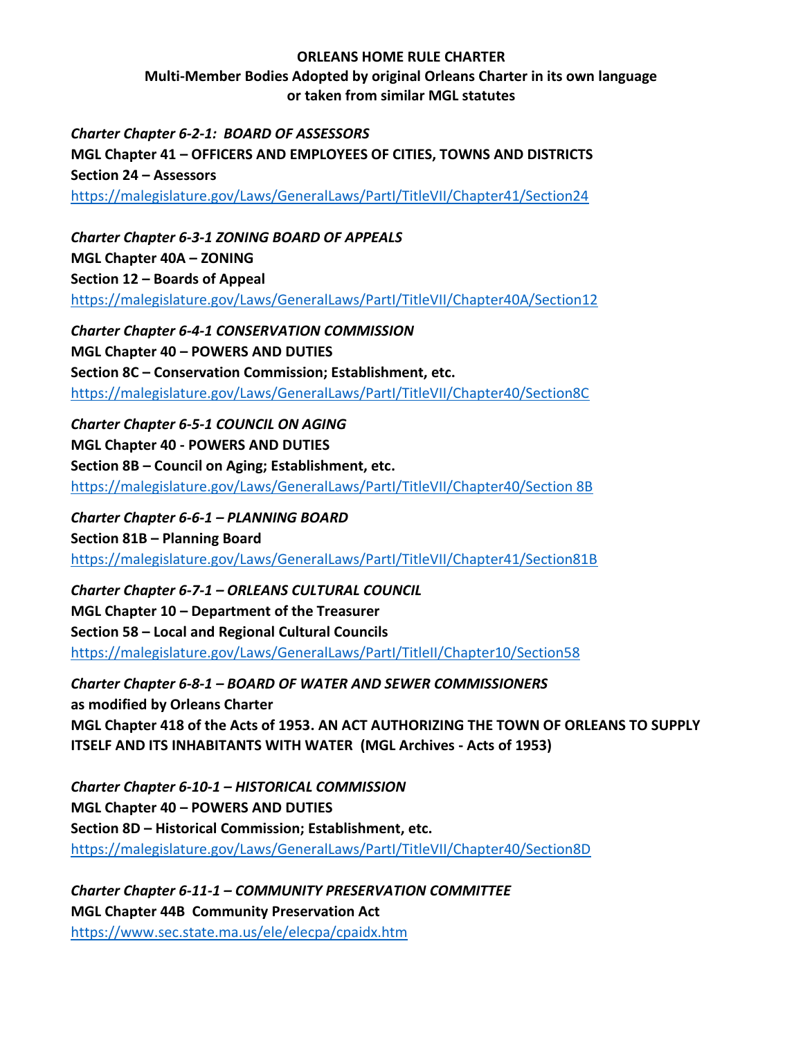## **ORLEANS HOME RULE CHARTER**

**Multi-Member Bodies Adopted by original Orleans Charter in its own language or taken from similar MGL statutes**

*Charter Chapter 6-2-1: BOARD OF ASSESSORS* **MGL Chapter 41 – OFFICERS AND EMPLOYEES OF CITIES, TOWNS AND DISTRICTS Section 24 – Assessors** <https://malegislature.gov/Laws/GeneralLaws/PartI/TitleVII/Chapter41/Section24>

*Charter Chapter 6-3-1 ZONING BOARD OF APPEALS* **MGL Chapter 40A – ZONING Section 12 – Boards of Appeal**  <https://malegislature.gov/Laws/GeneralLaws/PartI/TitleVII/Chapter40A/Section12>

*Charter Chapter 6-4-1 CONSERVATION COMMISSION* **MGL Chapter 40 – POWERS AND DUTIES Section 8C – Conservation Commission; Establishment, etc.** <https://malegislature.gov/Laws/GeneralLaws/PartI/TitleVII/Chapter40/Section8C>

*Charter Chapter 6-5-1 COUNCIL ON AGING* **MGL Chapter 40 - POWERS AND DUTIES Section 8B – Council on Aging; Establishment, etc.**  [https://malegislature.gov/Laws/GeneralLaws/PartI/TitleVII/Chapter40/Section 8B](https://malegislature.gov/Laws/GeneralLaws/PartI/TitleVII/Chapter40/Section%208B)

*Charter Chapter 6-6-1 – PLANNING BOARD* **Section 81B – Planning Board** <https://malegislature.gov/Laws/GeneralLaws/PartI/TitleVII/Chapter41/Section81B>

*Charter Chapter 6-7-1 – ORLEANS CULTURAL COUNCIL* **MGL Chapter 10 – Department of the Treasurer Section 58 – Local and Regional Cultural Councils**  <https://malegislature.gov/Laws/GeneralLaws/PartI/TitleII/Chapter10/Section58>

*Charter Chapter 6-8-1 – BOARD OF WATER AND SEWER COMMISSIONERS* **as modified by Orleans Charter MGL Chapter 418 of the Acts of 1953. AN ACT AUTHORIZING THE TOWN OF ORLEANS TO SUPPLY ITSELF AND ITS INHABITANTS WITH WATER (MGL Archives - Acts of 1953)**

*Charter Chapter 6-10-1 – HISTORICAL COMMISSION* **MGL Chapter 40 – POWERS AND DUTIES Section 8D – Historical Commission; Establishment, etc.** <https://malegislature.gov/Laws/GeneralLaws/PartI/TitleVII/Chapter40/Section8D>

*Charter Chapter 6-11-1 – COMMUNITY PRESERVATION COMMITTEE* **MGL Chapter 44B Community Preservation Act** <https://www.sec.state.ma.us/ele/elecpa/cpaidx.htm>